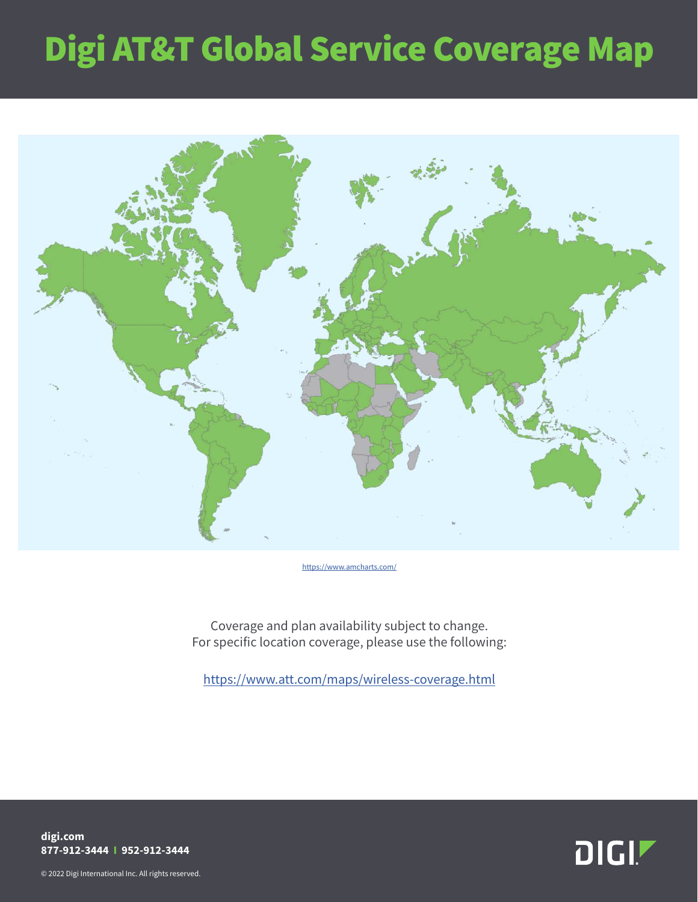## Digi AT&T Global Service Coverage Map



[https://www.amcharts.com/](https://www.amcharts.com/visited_countries/#AL,AM,AT,AZ,BY,BE,BA,BG,HR,CY,CZ,DK,EE,FO,FI,FR,GE,DE,GR,GG,HU,IS,IE,IT,JE,XK,LV,LI,LT,LU,MT,MD,ME,NL,MK,NO,PL,PT,RO,RU,RS,SK,SI,ES,SJ,SE,CH,TR,UA,GB,AI,AG,AW,BS,BB,BZ,BM,VG,CA,KY,CR,CW,DM,DO,SV,GL,GD,GP,GT,HT,HN,JM,MQ,MX,MS,NI,PA,PR,BL,KN,LC,MF,PM,VC,SX,TT,TC,US,AR,BO,BR,CL,CO,EC,GY,PY,PE,SR,UY,VE,BF,CM,TD,CI,CD,EG,GQ,ET,GA,GH,GN,KE,LS,ML,MA,MZ,NE,NG,CG,RE,RW,SC,SL,ZA,TZ,TG,UG,ZM,ZW,AF,BH,BD,KH,CN,HK,IN,ID,IQ,IL,JP,JO,KZ,KW,KG,LA,MO,MY,MN,MM,NP,OM,PK,PS,PH,QA,SA,SG,KR,LK,TW,TJ,TH,TM,AE,UZ,AU,FJ,GU,NZ,PG)

Coverage and plan availability subject to change. For specific location coverage, please use the following:

<https://www.att.com/maps/wireless-coverage.html>

**DIGI!** 

**digi.com 877-912-3444 I 952-912-3444**